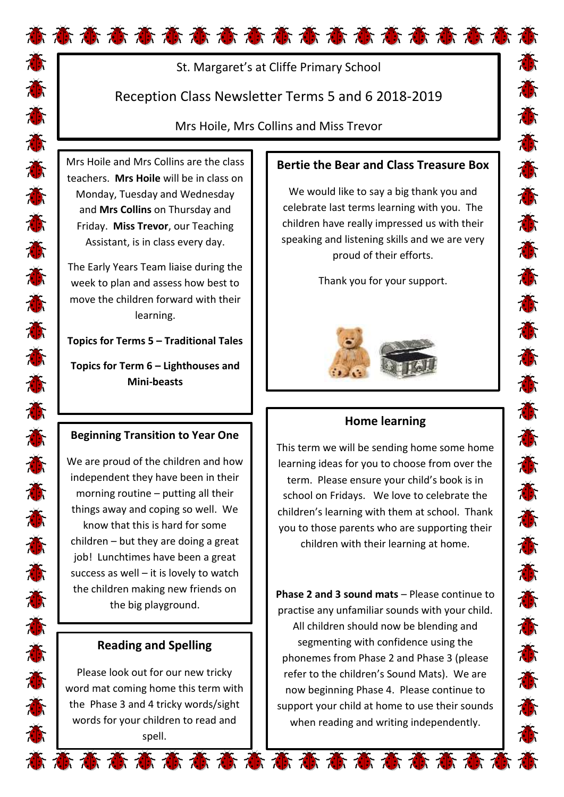# St. Margaret's at Cliffe Primary School

# Reception Class Newsletter Terms 5 and 6 2018-2019

Mrs Hoile, Mrs Collins and Miss Trevor

Mrs Hoile and Mrs Collins are the class teachers. **Mrs Hoile** will be in class on Monday, Tuesday and Wednesday and **Mrs Collins** on Thursday and Friday. **Miss Trevor**, our Teaching Assistant, is in class every day.

The Early Years Team liaise during the week to plan and assess how best to move the children forward with their learning.

**Topics for Terms 5 – Traditional Tales** 

**Topics for Term 6 – Lighthouses and Mini-beasts**

### **Beginning Transition to Year One**

We are proud of the children and how independent they have been in their morning routine – putting all their things away and coping so well. We know that this is hard for some children – but they are doing a great job! Lunchtimes have been a great success as well  $-$  it is lovely to watch the children making new friends on the big playground.

### **Reading and Spelling**

Please look out for our new tricky word mat coming home this term with the Phase 3 and 4 tricky words/sight words for your children to read and spell.

#### **Bertie the Bear and Class Treasure Box**

We would like to say a big thank you and celebrate last terms learning with you. The children have really impressed us with their speaking and listening skills and we are very proud of their efforts.

态态态态态态态态态态

荷荷荷荷荷荷荷荷荷荷

Thank you for your support.



### **Home learning**

This term we will be sending home some home learning ideas for you to choose from over the term. Please ensure your child's book is in school on Fridays. We love to celebrate the children's learning with them at school. Thank you to those parents who are supporting their children with their learning at home.

**Phase 2 and 3 sound mats** – Please continue to practise any unfamiliar sounds with your child. All children should now be blending and segmenting with confidence using the phonemes from Phase 2 and Phase 3 (please refer to the children's Sound Mats). We are now beginning Phase 4. Please continue to support your child at home to use their sounds when reading and writing independently.